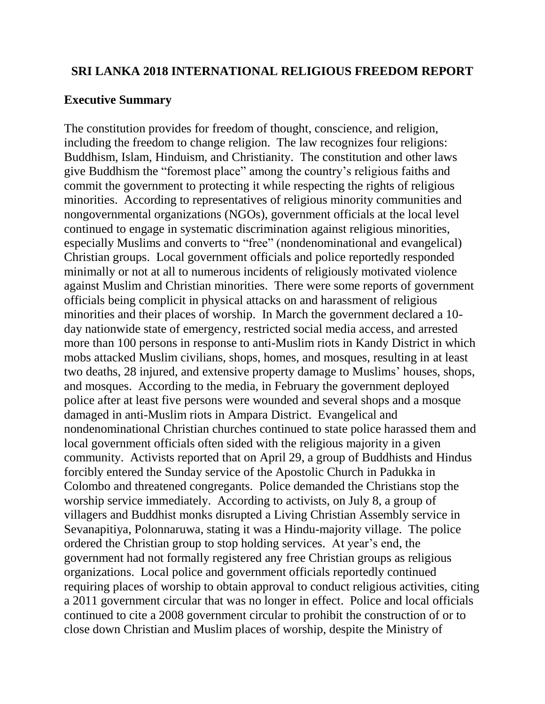#### **SRI LANKA 2018 INTERNATIONAL RELIGIOUS FREEDOM REPORT**

#### **Executive Summary**

The constitution provides for freedom of thought, conscience, and religion, including the freedom to change religion. The law recognizes four religions: Buddhism, Islam, Hinduism, and Christianity. The constitution and other laws give Buddhism the "foremost place" among the country's religious faiths and commit the government to protecting it while respecting the rights of religious minorities. According to representatives of religious minority communities and nongovernmental organizations (NGOs), government officials at the local level continued to engage in systematic discrimination against religious minorities, especially Muslims and converts to "free" (nondenominational and evangelical) Christian groups. Local government officials and police reportedly responded minimally or not at all to numerous incidents of religiously motivated violence against Muslim and Christian minorities. There were some reports of government officials being complicit in physical attacks on and harassment of religious minorities and their places of worship. In March the government declared a 10 day nationwide state of emergency, restricted social media access, and arrested more than 100 persons in response to anti-Muslim riots in Kandy District in which mobs attacked Muslim civilians, shops, homes, and mosques, resulting in at least two deaths, 28 injured, and extensive property damage to Muslims' houses, shops, and mosques. According to the media, in February the government deployed police after at least five persons were wounded and several shops and a mosque damaged in anti-Muslim riots in Ampara District. Evangelical and nondenominational Christian churches continued to state police harassed them and local government officials often sided with the religious majority in a given community. Activists reported that on April 29, a group of Buddhists and Hindus forcibly entered the Sunday service of the Apostolic Church in Padukka in Colombo and threatened congregants. Police demanded the Christians stop the worship service immediately. According to activists, on July 8, a group of villagers and Buddhist monks disrupted a Living Christian Assembly service in Sevanapitiya, Polonnaruwa, stating it was a Hindu-majority village. The police ordered the Christian group to stop holding services. At year's end, the government had not formally registered any free Christian groups as religious organizations. Local police and government officials reportedly continued requiring places of worship to obtain approval to conduct religious activities, citing a 2011 government circular that was no longer in effect. Police and local officials continued to cite a 2008 government circular to prohibit the construction of or to close down Christian and Muslim places of worship, despite the Ministry of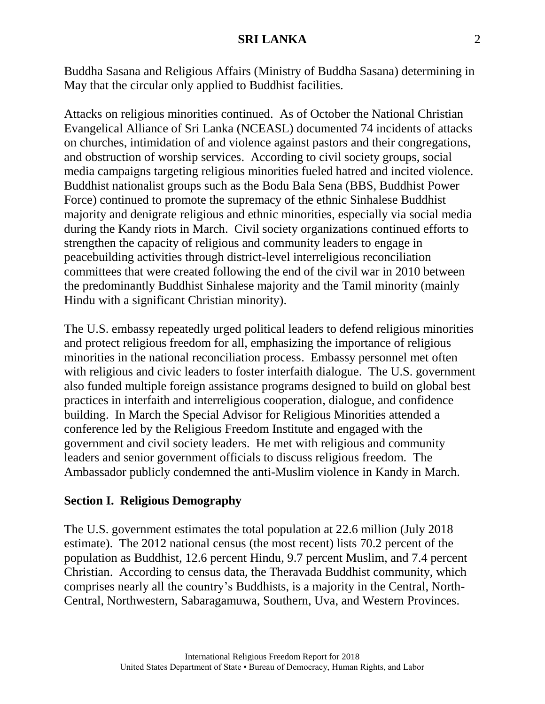Buddha Sasana and Religious Affairs (Ministry of Buddha Sasana) determining in May that the circular only applied to Buddhist facilities.

Attacks on religious minorities continued. As of October the National Christian Evangelical Alliance of Sri Lanka (NCEASL) documented 74 incidents of attacks on churches, intimidation of and violence against pastors and their congregations, and obstruction of worship services. According to civil society groups, social media campaigns targeting religious minorities fueled hatred and incited violence. Buddhist nationalist groups such as the Bodu Bala Sena (BBS, Buddhist Power Force) continued to promote the supremacy of the ethnic Sinhalese Buddhist majority and denigrate religious and ethnic minorities, especially via social media during the Kandy riots in March. Civil society organizations continued efforts to strengthen the capacity of religious and community leaders to engage in peacebuilding activities through district-level interreligious reconciliation committees that were created following the end of the civil war in 2010 between the predominantly Buddhist Sinhalese majority and the Tamil minority (mainly Hindu with a significant Christian minority).

The U.S. embassy repeatedly urged political leaders to defend religious minorities and protect religious freedom for all, emphasizing the importance of religious minorities in the national reconciliation process. Embassy personnel met often with religious and civic leaders to foster interfaith dialogue. The U.S. government also funded multiple foreign assistance programs designed to build on global best practices in interfaith and interreligious cooperation, dialogue, and confidence building. In March the Special Advisor for Religious Minorities attended a conference led by the Religious Freedom Institute and engaged with the government and civil society leaders. He met with religious and community leaders and senior government officials to discuss religious freedom. The Ambassador publicly condemned the anti-Muslim violence in Kandy in March.

## **Section I. Religious Demography**

The U.S. government estimates the total population at 22.6 million (July 2018 estimate). The 2012 national census (the most recent) lists 70.2 percent of the population as Buddhist, 12.6 percent Hindu, 9.7 percent Muslim, and 7.4 percent Christian. According to census data, the Theravada Buddhist community, which comprises nearly all the country's Buddhists, is a majority in the Central, North-Central, Northwestern, Sabaragamuwa, Southern, Uva, and Western Provinces.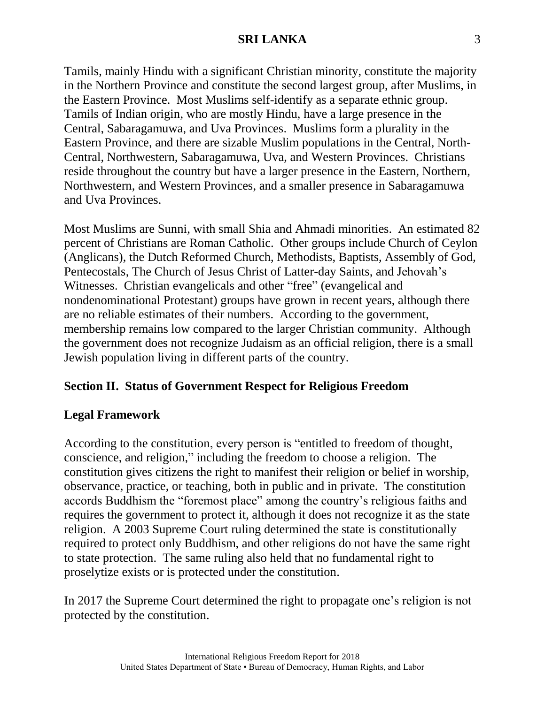Tamils, mainly Hindu with a significant Christian minority, constitute the majority in the Northern Province and constitute the second largest group, after Muslims, in the Eastern Province. Most Muslims self-identify as a separate ethnic group. Tamils of Indian origin, who are mostly Hindu, have a large presence in the Central, Sabaragamuwa, and Uva Provinces. Muslims form a plurality in the Eastern Province, and there are sizable Muslim populations in the Central, North-Central, Northwestern, Sabaragamuwa, Uva, and Western Provinces. Christians reside throughout the country but have a larger presence in the Eastern, Northern, Northwestern, and Western Provinces, and a smaller presence in Sabaragamuwa and Uva Provinces.

Most Muslims are Sunni, with small Shia and Ahmadi minorities. An estimated 82 percent of Christians are Roman Catholic. Other groups include Church of Ceylon (Anglicans), the Dutch Reformed Church, Methodists, Baptists, Assembly of God, Pentecostals, The Church of Jesus Christ of Latter-day Saints, and Jehovah's Witnesses. Christian evangelicals and other "free" (evangelical and nondenominational Protestant) groups have grown in recent years, although there are no reliable estimates of their numbers. According to the government, membership remains low compared to the larger Christian community. Although the government does not recognize Judaism as an official religion, there is a small Jewish population living in different parts of the country.

# **Section II. Status of Government Respect for Religious Freedom**

## **Legal Framework**

According to the constitution, every person is "entitled to freedom of thought, conscience, and religion," including the freedom to choose a religion. The constitution gives citizens the right to manifest their religion or belief in worship, observance, practice, or teaching, both in public and in private. The constitution accords Buddhism the "foremost place" among the country's religious faiths and requires the government to protect it, although it does not recognize it as the state religion. A 2003 Supreme Court ruling determined the state is constitutionally required to protect only Buddhism, and other religions do not have the same right to state protection. The same ruling also held that no fundamental right to proselytize exists or is protected under the constitution.

In 2017 the Supreme Court determined the right to propagate one's religion is not protected by the constitution.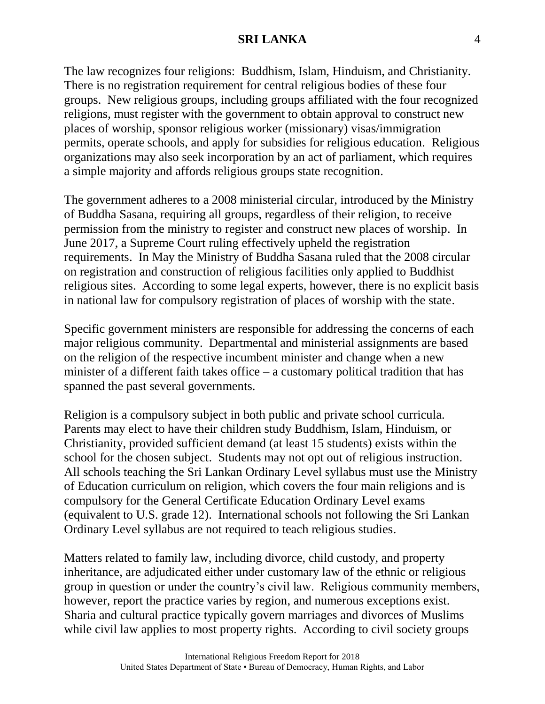The law recognizes four religions: Buddhism, Islam, Hinduism, and Christianity. There is no registration requirement for central religious bodies of these four groups. New religious groups, including groups affiliated with the four recognized religions, must register with the government to obtain approval to construct new places of worship, sponsor religious worker (missionary) visas/immigration permits, operate schools, and apply for subsidies for religious education. Religious organizations may also seek incorporation by an act of parliament, which requires a simple majority and affords religious groups state recognition.

The government adheres to a 2008 ministerial circular, introduced by the Ministry of Buddha Sasana, requiring all groups, regardless of their religion, to receive permission from the ministry to register and construct new places of worship. In June 2017, a Supreme Court ruling effectively upheld the registration requirements. In May the Ministry of Buddha Sasana ruled that the 2008 circular on registration and construction of religious facilities only applied to Buddhist religious sites. According to some legal experts, however, there is no explicit basis in national law for compulsory registration of places of worship with the state.

Specific government ministers are responsible for addressing the concerns of each major religious community. Departmental and ministerial assignments are based on the religion of the respective incumbent minister and change when a new minister of a different faith takes office – a customary political tradition that has spanned the past several governments.

Religion is a compulsory subject in both public and private school curricula. Parents may elect to have their children study Buddhism, Islam, Hinduism, or Christianity, provided sufficient demand (at least 15 students) exists within the school for the chosen subject. Students may not opt out of religious instruction. All schools teaching the Sri Lankan Ordinary Level syllabus must use the Ministry of Education curriculum on religion, which covers the four main religions and is compulsory for the General Certificate Education Ordinary Level exams (equivalent to U.S. grade 12). International schools not following the Sri Lankan Ordinary Level syllabus are not required to teach religious studies.

Matters related to family law, including divorce, child custody, and property inheritance, are adjudicated either under customary law of the ethnic or religious group in question or under the country's civil law. Religious community members, however, report the practice varies by region, and numerous exceptions exist. Sharia and cultural practice typically govern marriages and divorces of Muslims while civil law applies to most property rights. According to civil society groups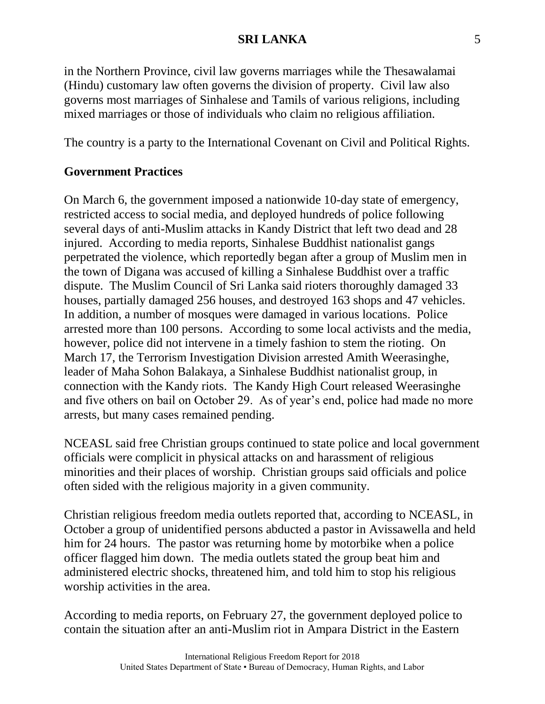in the Northern Province, civil law governs marriages while the Thesawalamai (Hindu) customary law often governs the division of property. Civil law also governs most marriages of Sinhalese and Tamils of various religions, including mixed marriages or those of individuals who claim no religious affiliation.

The country is a party to the International Covenant on Civil and Political Rights.

## **Government Practices**

On March 6, the government imposed a nationwide 10-day state of emergency, restricted access to social media, and deployed hundreds of police following several days of anti-Muslim attacks in Kandy District that left two dead and 28 injured. According to media reports, Sinhalese Buddhist nationalist gangs perpetrated the violence, which reportedly began after a group of Muslim men in the town of Digana was accused of killing a Sinhalese Buddhist over a traffic dispute. The Muslim Council of Sri Lanka said rioters thoroughly damaged 33 houses, partially damaged 256 houses, and destroyed 163 shops and 47 vehicles. In addition, a number of mosques were damaged in various locations. Police arrested more than 100 persons. According to some local activists and the media, however, police did not intervene in a timely fashion to stem the rioting. On March 17, the Terrorism Investigation Division arrested Amith Weerasinghe, leader of Maha Sohon Balakaya, a Sinhalese Buddhist nationalist group, in connection with the Kandy riots. The Kandy High Court released Weerasinghe and five others on bail on October 29. As of year's end, police had made no more arrests, but many cases remained pending.

NCEASL said free Christian groups continued to state police and local government officials were complicit in physical attacks on and harassment of religious minorities and their places of worship. Christian groups said officials and police often sided with the religious majority in a given community.

Christian religious freedom media outlets reported that, according to NCEASL, in October a group of unidentified persons abducted a pastor in Avissawella and held him for 24 hours. The pastor was returning home by motorbike when a police officer flagged him down. The media outlets stated the group beat him and administered electric shocks, threatened him, and told him to stop his religious worship activities in the area.

According to media reports, on February 27, the government deployed police to contain the situation after an anti-Muslim riot in Ampara District in the Eastern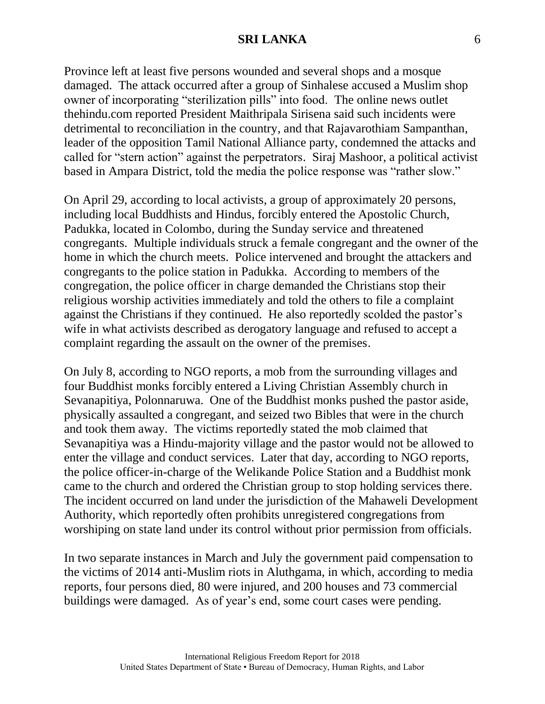Province left at least five persons wounded and several shops and a mosque damaged. The attack occurred after a group of Sinhalese accused a Muslim shop owner of incorporating "sterilization pills" into food. The online news outlet thehindu.com reported President Maithripala Sirisena said such incidents were detrimental to reconciliation in the country, and that Rajavarothiam Sampanthan, leader of the opposition Tamil National Alliance party, condemned the attacks and called for "stern action" against the perpetrators. Siraj Mashoor, a political activist based in Ampara District, told the media the police response was "rather slow."

On April 29, according to local activists, a group of approximately 20 persons, including local Buddhists and Hindus, forcibly entered the Apostolic Church, Padukka, located in Colombo, during the Sunday service and threatened congregants. Multiple individuals struck a female congregant and the owner of the home in which the church meets. Police intervened and brought the attackers and congregants to the police station in Padukka. According to members of the congregation, the police officer in charge demanded the Christians stop their religious worship activities immediately and told the others to file a complaint against the Christians if they continued. He also reportedly scolded the pastor's wife in what activists described as derogatory language and refused to accept a complaint regarding the assault on the owner of the premises.

On July 8, according to NGO reports, a mob from the surrounding villages and four Buddhist monks forcibly entered a Living Christian Assembly church in Sevanapitiya, Polonnaruwa. One of the Buddhist monks pushed the pastor aside, physically assaulted a congregant, and seized two Bibles that were in the church and took them away. The victims reportedly stated the mob claimed that Sevanapitiya was a Hindu-majority village and the pastor would not be allowed to enter the village and conduct services. Later that day, according to NGO reports, the police officer-in-charge of the Welikande Police Station and a Buddhist monk came to the church and ordered the Christian group to stop holding services there. The incident occurred on land under the jurisdiction of the Mahaweli Development Authority, which reportedly often prohibits unregistered congregations from worshiping on state land under its control without prior permission from officials.

In two separate instances in March and July the government paid compensation to the victims of 2014 anti-Muslim riots in Aluthgama, in which, according to media reports, four persons died, 80 were injured, and 200 houses and 73 commercial buildings were damaged. As of year's end, some court cases were pending.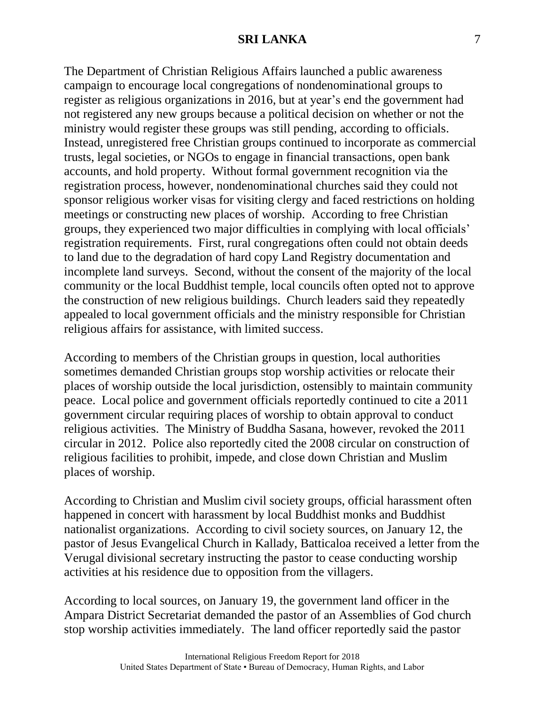The Department of Christian Religious Affairs launched a public awareness campaign to encourage local congregations of nondenominational groups to register as religious organizations in 2016, but at year's end the government had not registered any new groups because a political decision on whether or not the ministry would register these groups was still pending, according to officials. Instead, unregistered free Christian groups continued to incorporate as commercial trusts, legal societies, or NGOs to engage in financial transactions, open bank accounts, and hold property. Without formal government recognition via the registration process, however, nondenominational churches said they could not sponsor religious worker visas for visiting clergy and faced restrictions on holding meetings or constructing new places of worship. According to free Christian groups, they experienced two major difficulties in complying with local officials' registration requirements. First, rural congregations often could not obtain deeds to land due to the degradation of hard copy Land Registry documentation and incomplete land surveys. Second, without the consent of the majority of the local community or the local Buddhist temple, local councils often opted not to approve the construction of new religious buildings. Church leaders said they repeatedly appealed to local government officials and the ministry responsible for Christian religious affairs for assistance, with limited success.

According to members of the Christian groups in question, local authorities sometimes demanded Christian groups stop worship activities or relocate their places of worship outside the local jurisdiction, ostensibly to maintain community peace. Local police and government officials reportedly continued to cite a 2011 government circular requiring places of worship to obtain approval to conduct religious activities. The Ministry of Buddha Sasana, however, revoked the 2011 circular in 2012. Police also reportedly cited the 2008 circular on construction of religious facilities to prohibit, impede, and close down Christian and Muslim places of worship.

According to Christian and Muslim civil society groups, official harassment often happened in concert with harassment by local Buddhist monks and Buddhist nationalist organizations. According to civil society sources, on January 12, the pastor of Jesus Evangelical Church in Kallady, Batticaloa received a letter from the Verugal divisional secretary instructing the pastor to cease conducting worship activities at his residence due to opposition from the villagers.

According to local sources, on January 19, the government land officer in the Ampara District Secretariat demanded the pastor of an Assemblies of God church stop worship activities immediately. The land officer reportedly said the pastor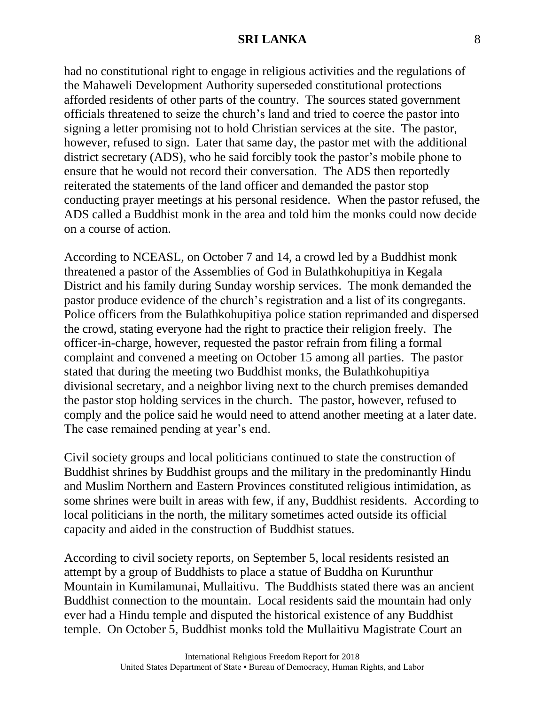had no constitutional right to engage in religious activities and the regulations of the Mahaweli Development Authority superseded constitutional protections afforded residents of other parts of the country. The sources stated government officials threatened to seize the church's land and tried to coerce the pastor into signing a letter promising not to hold Christian services at the site. The pastor, however, refused to sign. Later that same day, the pastor met with the additional district secretary (ADS), who he said forcibly took the pastor's mobile phone to ensure that he would not record their conversation. The ADS then reportedly reiterated the statements of the land officer and demanded the pastor stop conducting prayer meetings at his personal residence. When the pastor refused, the ADS called a Buddhist monk in the area and told him the monks could now decide on a course of action.

According to NCEASL, on October 7 and 14, a crowd led by a Buddhist monk threatened a pastor of the Assemblies of God in Bulathkohupitiya in Kegala District and his family during Sunday worship services. The monk demanded the pastor produce evidence of the church's registration and a list of its congregants. Police officers from the Bulathkohupitiya police station reprimanded and dispersed the crowd, stating everyone had the right to practice their religion freely. The officer-in-charge, however, requested the pastor refrain from filing a formal complaint and convened a meeting on October 15 among all parties. The pastor stated that during the meeting two Buddhist monks, the Bulathkohupitiya divisional secretary, and a neighbor living next to the church premises demanded the pastor stop holding services in the church. The pastor, however, refused to comply and the police said he would need to attend another meeting at a later date. The case remained pending at year's end.

Civil society groups and local politicians continued to state the construction of Buddhist shrines by Buddhist groups and the military in the predominantly Hindu and Muslim Northern and Eastern Provinces constituted religious intimidation, as some shrines were built in areas with few, if any, Buddhist residents. According to local politicians in the north, the military sometimes acted outside its official capacity and aided in the construction of Buddhist statues.

According to civil society reports, on September 5, local residents resisted an attempt by a group of Buddhists to place a statue of Buddha on Kurunthur Mountain in Kumilamunai, Mullaitivu. The Buddhists stated there was an ancient Buddhist connection to the mountain. Local residents said the mountain had only ever had a Hindu temple and disputed the historical existence of any Buddhist temple. On October 5, Buddhist monks told the Mullaitivu Magistrate Court an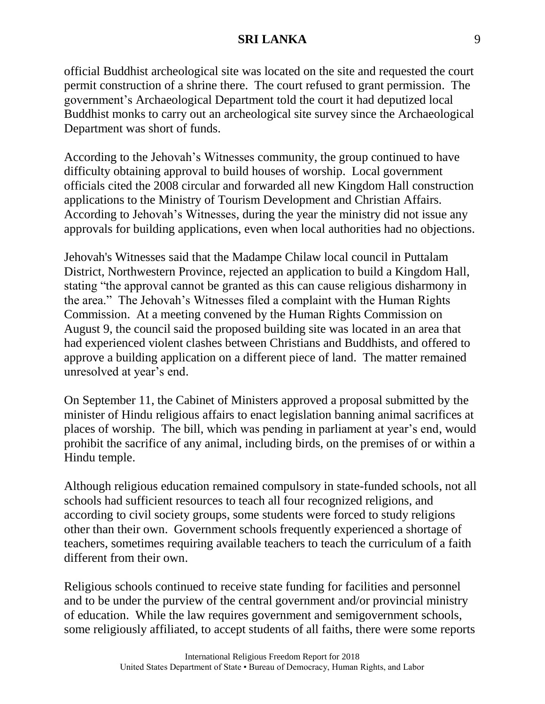official Buddhist archeological site was located on the site and requested the court permit construction of a shrine there. The court refused to grant permission. The government's Archaeological Department told the court it had deputized local Buddhist monks to carry out an archeological site survey since the Archaeological Department was short of funds.

According to the Jehovah's Witnesses community, the group continued to have difficulty obtaining approval to build houses of worship. Local government officials cited the 2008 circular and forwarded all new Kingdom Hall construction applications to the Ministry of Tourism Development and Christian Affairs. According to Jehovah's Witnesses, during the year the ministry did not issue any approvals for building applications, even when local authorities had no objections.

Jehovah's Witnesses said that the Madampe Chilaw local council in Puttalam District, Northwestern Province, rejected an application to build a Kingdom Hall, stating "the approval cannot be granted as this can cause religious disharmony in the area." The Jehovah's Witnesses filed a complaint with the Human Rights Commission. At a meeting convened by the Human Rights Commission on August 9, the council said the proposed building site was located in an area that had experienced violent clashes between Christians and Buddhists, and offered to approve a building application on a different piece of land. The matter remained unresolved at year's end.

On September 11, the Cabinet of Ministers approved a proposal submitted by the minister of Hindu religious affairs to enact legislation banning animal sacrifices at places of worship. The bill, which was pending in parliament at year's end, would prohibit the sacrifice of any animal, including birds, on the premises of or within a Hindu temple.

Although religious education remained compulsory in state-funded schools, not all schools had sufficient resources to teach all four recognized religions, and according to civil society groups, some students were forced to study religions other than their own. Government schools frequently experienced a shortage of teachers, sometimes requiring available teachers to teach the curriculum of a faith different from their own.

Religious schools continued to receive state funding for facilities and personnel and to be under the purview of the central government and/or provincial ministry of education. While the law requires government and semigovernment schools, some religiously affiliated, to accept students of all faiths, there were some reports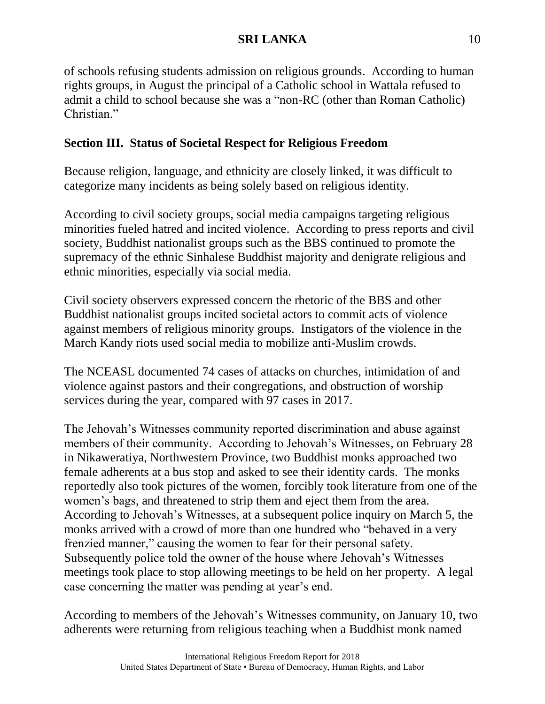of schools refusing students admission on religious grounds. According to human rights groups, in August the principal of a Catholic school in Wattala refused to admit a child to school because she was a "non-RC (other than Roman Catholic) Christian."

## **Section III. Status of Societal Respect for Religious Freedom**

Because religion, language, and ethnicity are closely linked, it was difficult to categorize many incidents as being solely based on religious identity.

According to civil society groups, social media campaigns targeting religious minorities fueled hatred and incited violence. According to press reports and civil society, Buddhist nationalist groups such as the BBS continued to promote the supremacy of the ethnic Sinhalese Buddhist majority and denigrate religious and ethnic minorities, especially via social media.

Civil society observers expressed concern the rhetoric of the BBS and other Buddhist nationalist groups incited societal actors to commit acts of violence against members of religious minority groups. Instigators of the violence in the March Kandy riots used social media to mobilize anti-Muslim crowds.

The NCEASL documented 74 cases of attacks on churches, intimidation of and violence against pastors and their congregations, and obstruction of worship services during the year, compared with 97 cases in 2017.

The Jehovah's Witnesses community reported discrimination and abuse against members of their community. According to Jehovah's Witnesses, on February 28 in Nikaweratiya, Northwestern Province, two Buddhist monks approached two female adherents at a bus stop and asked to see their identity cards. The monks reportedly also took pictures of the women, forcibly took literature from one of the women's bags, and threatened to strip them and eject them from the area. According to Jehovah's Witnesses, at a subsequent police inquiry on March 5, the monks arrived with a crowd of more than one hundred who "behaved in a very frenzied manner," causing the women to fear for their personal safety. Subsequently police told the owner of the house where Jehovah's Witnesses meetings took place to stop allowing meetings to be held on her property. A legal case concerning the matter was pending at year's end.

According to members of the Jehovah's Witnesses community, on January 10, two adherents were returning from religious teaching when a Buddhist monk named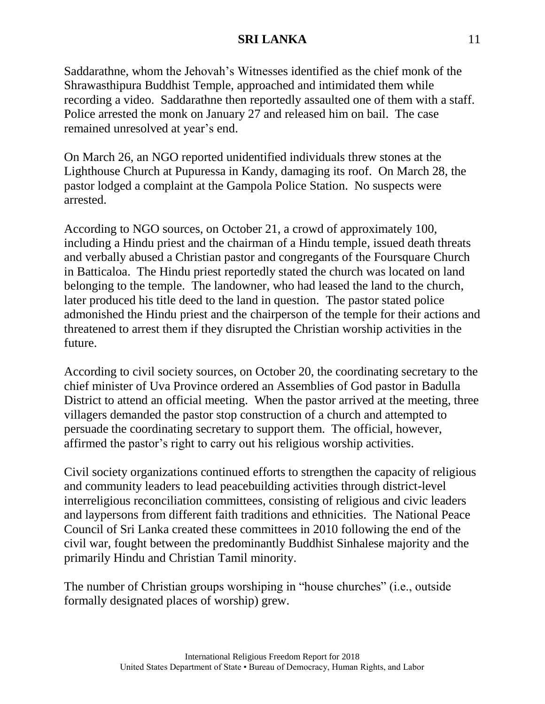Saddarathne, whom the Jehovah's Witnesses identified as the chief monk of the Shrawasthipura Buddhist Temple, approached and intimidated them while recording a video. Saddarathne then reportedly assaulted one of them with a staff. Police arrested the monk on January 27 and released him on bail. The case remained unresolved at year's end.

On March 26, an NGO reported unidentified individuals threw stones at the Lighthouse Church at Pupuressa in Kandy, damaging its roof. On March 28, the pastor lodged a complaint at the Gampola Police Station. No suspects were arrested.

According to NGO sources, on October 21, a crowd of approximately 100, including a Hindu priest and the chairman of a Hindu temple, issued death threats and verbally abused a Christian pastor and congregants of the Foursquare Church in Batticaloa. The Hindu priest reportedly stated the church was located on land belonging to the temple. The landowner, who had leased the land to the church, later produced his title deed to the land in question. The pastor stated police admonished the Hindu priest and the chairperson of the temple for their actions and threatened to arrest them if they disrupted the Christian worship activities in the future.

According to civil society sources, on October 20, the coordinating secretary to the chief minister of Uva Province ordered an Assemblies of God pastor in Badulla District to attend an official meeting. When the pastor arrived at the meeting, three villagers demanded the pastor stop construction of a church and attempted to persuade the coordinating secretary to support them. The official, however, affirmed the pastor's right to carry out his religious worship activities.

Civil society organizations continued efforts to strengthen the capacity of religious and community leaders to lead peacebuilding activities through district-level interreligious reconciliation committees, consisting of religious and civic leaders and laypersons from different faith traditions and ethnicities. The National Peace Council of Sri Lanka created these committees in 2010 following the end of the civil war, fought between the predominantly Buddhist Sinhalese majority and the primarily Hindu and Christian Tamil minority.

The number of Christian groups worshiping in "house churches" (i.e., outside formally designated places of worship) grew.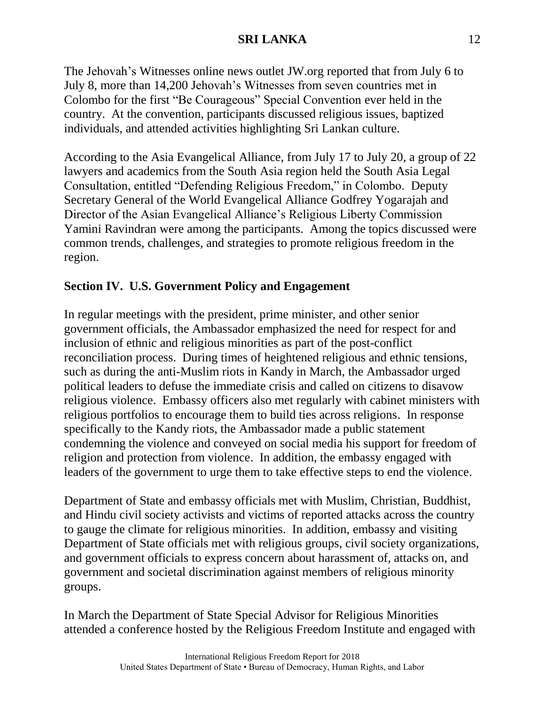The Jehovah's Witnesses online news outlet JW.org reported that from July 6 to July 8, more than 14,200 Jehovah's Witnesses from seven countries met in Colombo for the first "Be Courageous" Special Convention ever held in the country. At the convention, participants discussed religious issues, baptized individuals, and attended activities highlighting Sri Lankan culture.

According to the Asia Evangelical Alliance, from July 17 to July 20, a group of 22 lawyers and academics from the South Asia region held the South Asia Legal Consultation, entitled "Defending Religious Freedom," in Colombo. Deputy Secretary General of the World Evangelical Alliance Godfrey Yogarajah and Director of the Asian Evangelical Alliance's Religious Liberty Commission Yamini Ravindran were among the participants. Among the topics discussed were common trends, challenges, and strategies to promote religious freedom in the region.

# **Section IV. U.S. Government Policy and Engagement**

In regular meetings with the president, prime minister, and other senior government officials, the Ambassador emphasized the need for respect for and inclusion of ethnic and religious minorities as part of the post-conflict reconciliation process. During times of heightened religious and ethnic tensions, such as during the anti-Muslim riots in Kandy in March, the Ambassador urged political leaders to defuse the immediate crisis and called on citizens to disavow religious violence. Embassy officers also met regularly with cabinet ministers with religious portfolios to encourage them to build ties across religions. In response specifically to the Kandy riots, the Ambassador made a public statement condemning the violence and conveyed on social media his support for freedom of religion and protection from violence. In addition, the embassy engaged with leaders of the government to urge them to take effective steps to end the violence.

Department of State and embassy officials met with Muslim, Christian, Buddhist, and Hindu civil society activists and victims of reported attacks across the country to gauge the climate for religious minorities. In addition, embassy and visiting Department of State officials met with religious groups, civil society organizations, and government officials to express concern about harassment of, attacks on, and government and societal discrimination against members of religious minority groups.

In March the Department of State Special Advisor for Religious Minorities attended a conference hosted by the Religious Freedom Institute and engaged with